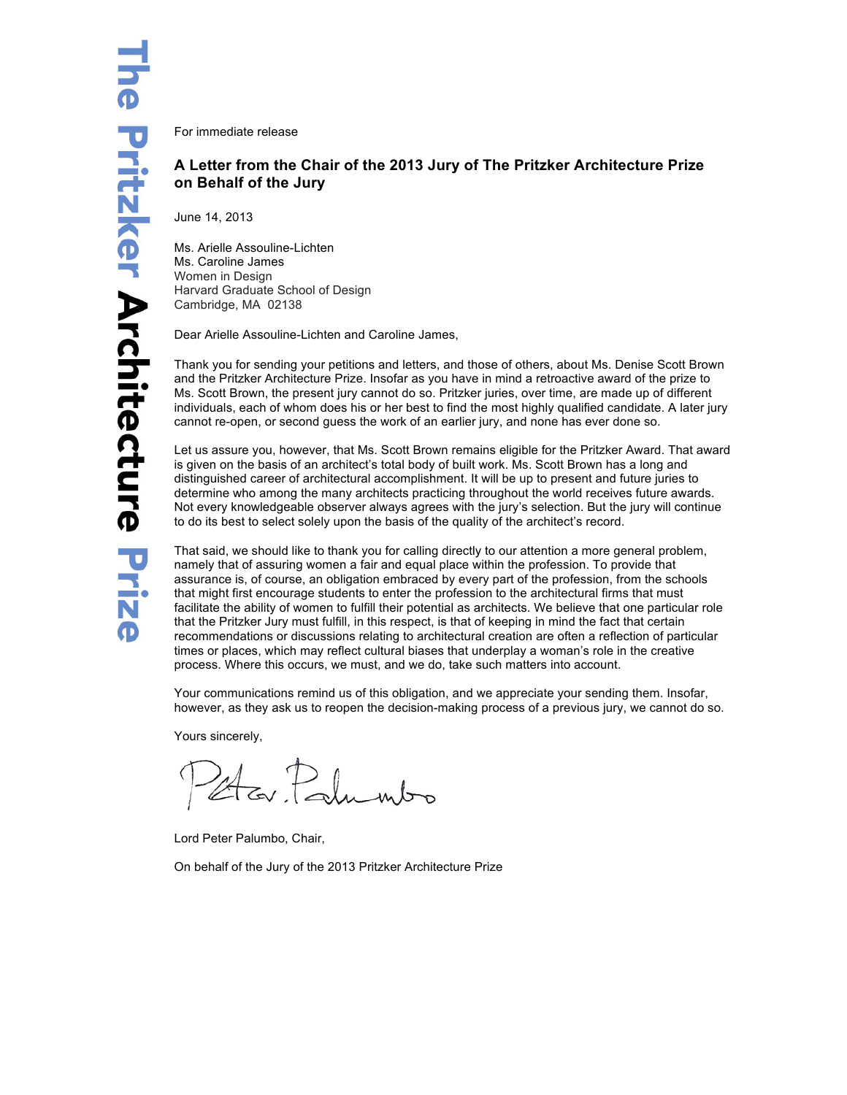For immediate release

## **A Letter from the Chair of the 2013 Jury of The Pritzker Architecture Prize on Behalf of the Jury**

June 14, 2013

Ms. Arielle Assouline-Lichten Ms. Caroline James Women in Design Harvard Graduate School of Design Cambridge, MA 02138

Dear Arielle Assouline-Lichten and Caroline James,

Thank you for sending your petitions and letters, and those of others, about Ms. Denise Scott Brown and the Pritzker Architecture Prize. Insofar as you have in mind a retroactive award of the prize to Ms. Scott Brown, the present jury cannot do so. Pritzker juries, over time, are made up of different individuals, each of whom does his or her best to find the most highly qualified candidate. A later jury cannot re-open, or second guess the work of an earlier jury, and none has ever done so.

Let us assure you, however, that Ms. Scott Brown remains eligible for the Pritzker Award. That award is given on the basis of an architect's total body of built work. Ms. Scott Brown has a long and distinguished career of architectural accomplishment. It will be up to present and future juries to determine who among the many architects practicing throughout the world receives future awards. Not every knowledgeable observer always agrees with the jury's selection. But the jury will continue to do its best to select solely upon the basis of the quality of the architect's record.

That said, we should like to thank you for calling directly to our attention a more general problem, namely that of assuring women a fair and equal place within the profession. To provide that assurance is, of course, an obligation embraced by every part of the profession, from the schools that might first encourage students to enter the profession to the architectural firms that must facilitate the ability of women to fulfill their potential as architects. We believe that one particular role that the Pritzker Jury must fulfill, in this respect, is that of keeping in mind the fact that certain recommendations or discussions relating to architectural creation are often a reflection of particular times or places, which may reflect cultural biases that underplay a woman's role in the creative process. Where this occurs, we must, and we do, take such matters into account.

Your communications remind us of this obligation, and we appreciate your sending them. Insofar, however, as they ask us to reopen the decision-making process of a previous jury, we cannot do so.

Yours sincerely,

Er Palumbo

Lord Peter Palumbo, Chair,

On behalf of the Jury of the 2013 Pritzker Architecture Prize